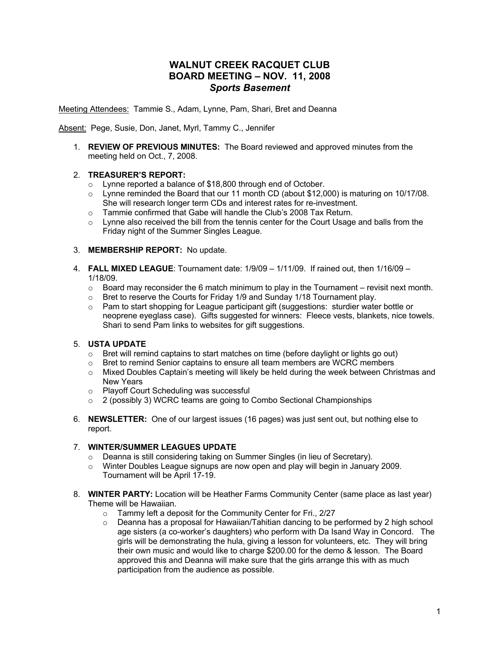# **WALNUT CREEK RACQUET CLUB BOARD MEETING – NOV. 11, 2008** *Sports Basement*

Meeting Attendees: Tammie S., Adam, Lynne, Pam, Shari, Bret and Deanna

Absent: Pege, Susie, Don, Janet, Myrl, Tammy C., Jennifer

1. **REVIEW OF PREVIOUS MINUTES:**The Board reviewed and approved minutes from the meeting held on Oct., 7, 2008.

### 2. **TREASURER'S REPORT:**

- o Lynne reported a balance of \$18,800 through end of October.
- $\circ$  Lynne reminded the Board that our 11 month CD (about \$12,000) is maturing on 10/17/08. She will research longer term CDs and interest rates for re-investment.
- o Tammie confirmed that Gabe will handle the Club's 2008 Tax Return.
- $\circ$  Lynne also received the bill from the tennis center for the Court Usage and balls from the Friday night of the Summer Singles League.

### 3. **MEMBERSHIP REPORT:** No update.

- 4. **FALL MIXED LEAGUE**: Tournament date: 1/9/09 1/11/09. If rained out, then 1/16/09 1/18/09.
	- $\circ$  Board may reconsider the 6 match minimum to play in the Tournament revisit next month.
	- o Bret to reserve the Courts for Friday 1/9 and Sunday 1/18 Tournament play.
	- o Pam to start shopping for League participant gift (suggestions: sturdier water bottle or neoprene eyeglass case). Gifts suggested for winners: Fleece vests, blankets, nice towels. Shari to send Pam links to websites for gift suggestions.

## 5. **USTA UPDATE**

- o Bret will remind captains to start matches on time (before daylight or lights go out)
- o Bret to remind Senior captains to ensure all team members are WCRC members
- o Mixed Doubles Captain's meeting will likely be held during the week between Christmas and New Years
- Playoff Court Scheduling was successful<br>○ 2 (possibly 3) WCRC teams are going to
- 2 (possibly 3) WCRC teams are going to Combo Sectional Championships
- 6. **NEWSLETTER:** One of our largest issues (16 pages) was just sent out, but nothing else to report.

## 7. **WINTER/SUMMER LEAGUES UPDATE**

- o Deanna is still considering taking on Summer Singles (in lieu of Secretary).
- o Winter Doubles League signups are now open and play will begin in January 2009. Tournament will be April 17-19.
- 8. **WINTER PARTY:** Location will be Heather Farms Community Center (same place as last year) Theme will be Hawaiian.
	- o Tammy left a deposit for the Community Center for Fri., 2/27
	- $\circ$  Deanna has a proposal for Hawaiian/Tahitian dancing to be performed by 2 high school age sisters (a co-worker's daughters) who perform with Da Isand Way in Concord. The girls will be demonstrating the hula, giving a lesson for volunteers, etc. They will bring their own music and would like to charge \$200.00 for the demo & lesson. The Board approved this and Deanna will make sure that the girls arrange this with as much participation from the audience as possible.